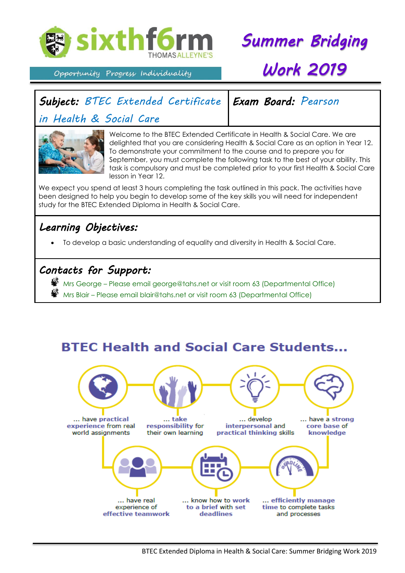

*Summer Bridging* 

#### Opportunity Progress Individuality

# *Work 2019*

*Exam Board: Pearson* 

## *Subject: BTEC Extended Certificate*

*in Health & Social Care* 



Welcome to the BTEC Extended Certificate in Health & Social Care. We are delighted that you are considering Health & Social Care as an option in Year 12. To demonstrate your commitment to the course and to prepare you for September, you must complete the following task to the best of your ability. This task is compulsory and must be completed prior to your first Health & Social Care lesson in Year 12.

We expect you spend at least 3 hours completing the task outlined in this pack. The activities have been designed to help you begin to develop some of the key skills you will need for independent study for the BTEC Extended Diploma in Health & Social Care.

#### *Learning Objectives:*

To develop a basic understanding of equality and diversity in Health & Social Care.

#### *Contacts for Support:*

- <sup>28</sup> Mrs George Please email george@tahs.net or visit room 63 (Departmental Office)
	- Mrs Blair Please email blair@tahs.net or visit room 63 (Departmental Office)

## **BTEC Health and Social Care Students...**